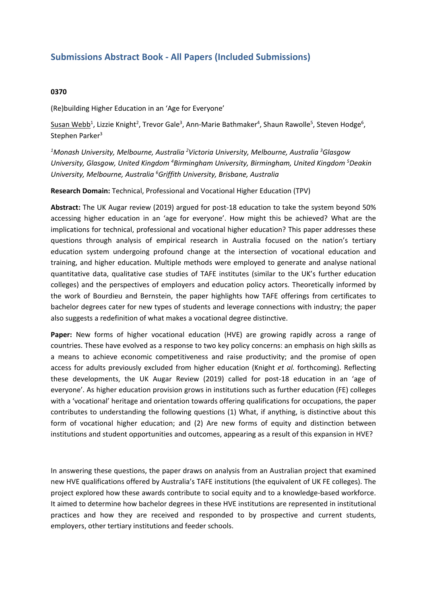## **Submissions Abstract Book - All Papers (Included Submissions)**

## **0370**

(Re)building Higher Education in an 'Age for Everyone'

 $\mathsf{Susan\;Webb}^1$ , Lizzie Knight $^2$ , Trevor Gale $^3$ , Ann-Marie Bathmaker $^4$ , Shaun Rawolle $^5$ , Steven Hodge $^6$ , Stephen Parker<sup>3</sup>

*<sup>1</sup>Monash University, Melbourne, Australia <sup>2</sup> Victoria University, Melbourne, Australia <sup>3</sup> Glasgow University, Glasgow, United Kingdom <sup>4</sup> Birmingham University, Birmingham, United Kingdom <sup>5</sup> Deakin University, Melbourne, Australia <sup>6</sup> Griffith University, Brisbane, Australia*

**Research Domain:** Technical, Professional and Vocational Higher Education (TPV)

**Abstract:** The UK Augar review (2019) argued for post-18 education to take the system beyond 50% accessing higher education in an 'age for everyone'. How might this be achieved? What are the implications for technical, professional and vocational higher education? This paper addresses these questions through analysis of empirical research in Australia focused on the nation's tertiary education system undergoing profound change at the intersection of vocational education and training, and higher education. Multiple methods were employed to generate and analyse national quantitative data, qualitative case studies of TAFE institutes (similar to the UK's further education colleges) and the perspectives of employers and education policy actors. Theoretically informed by the work of Bourdieu and Bernstein, the paper highlights how TAFE offerings from certificates to bachelor degrees cater for new types of students and leverage connections with industry; the paper also suggests <sup>a</sup> redefinition of what makes <sup>a</sup> vocational degree distinctive.

**Paper:** New forms of higher vocational education (HVE) are growing rapidly across <sup>a</sup> range of countries. These have evolved as <sup>a</sup> response to two key policy concerns: an emphasis on high skills as <sup>a</sup> means to achieve economic competitiveness and raise productivity; and the promise of open access for adults previously excluded from higher education (Knight *et al.* forthcoming). Reflecting these developments, the UK Augar Review (2019) called for post-18 education in an 'age of everyone'. As higher education provision grows in institutions such as further education (FE) colleges with <sup>a</sup> 'vocational' heritage and orientation towards offering qualifications for occupations, the paper contributes to understanding the following questions (1) What, if anything, is distinctive about this form of vocational higher education; and (2) Are new forms of equity and distinction between institutions and student opportunities and outcomes, appearing as <sup>a</sup> result of this expansion in HVE?

In answering these questions, the paper draws on analysis from an Australian project that examined new HVE qualifications offered by Australia's TAFE institutions (the equivalent of UK FE colleges). The project explored how these awards contribute to social equity and to <sup>a</sup> knowledge-based workforce. It aimed to determine how bachelor degrees in these HVE institutions are represented in institutional practices and how they are received and responded to by prospective and current students, employers, other tertiary institutions and feeder schools.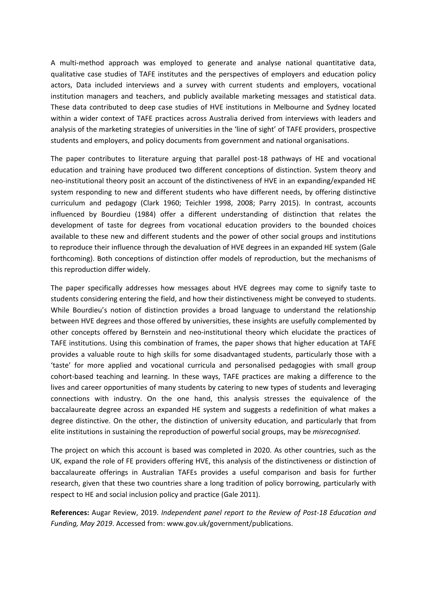A multi-method approach was employed to generate and analyse national quantitative data, qualitative case studies of TAFE institutes and the perspectives of employers and education policy actors, Data included interviews and <sup>a</sup> survey with current students and employers, vocational institution managers and teachers, and publicly available marketing messages and statistical data. These data contributed to deep case studies of HVE institutions in Melbourne and Sydney located within <sup>a</sup> wider context of TAFE practices across Australia derived from interviews with leaders and analysis of the marketing strategies of universities in the 'line of sight' of TAFE providers, prospective students and employers, and policy documents from government and national organisations.

The paper contributes to literature arguing that parallel post-18 pathways of HE and vocational education and training have produced two different conceptions of distinction. System theory and neo-institutional theory posit an account of the distinctiveness of HVE in an expanding/expanded HE system responding to new and different students who have different needs, by offering distinctive curriculum and pedagogy (Clark 1960; Teichler 1998, 2008; Parry 2015). In contrast, accounts influenced by Bourdieu (1984) offer <sup>a</sup> different understanding of distinction that relates the development of taste for degrees from vocational education providers to the bounded choices available to these new and different students and the power of other social groups and institutions to reproduce their influence through the devaluation of HVE degrees in an expanded HE system (Gale forthcoming). Both conceptions of distinction offer models of reproduction, but the mechanisms of this reproduction differ widely.

The paper specifically addresses how messages about HVE degrees may come to signify taste to students considering entering the field, and how their distinctiveness might be conveyed to students. While Bourdieu's notion of distinction provides <sup>a</sup> broad language to understand the relationship between HVE degrees and those offered by universities, these insights are usefully complemented by other concepts offered by Bernstein and neo-institutional theory which elucidate the practices of TAFE institutions. Using this combination of frames, the paper shows that higher education at TAFE provides <sup>a</sup> valuable route to high skills for some disadvantaged students, particularly those with <sup>a</sup> 'taste' for more applied and vocational curricula and personalised pedagogies with small group cohort-based teaching and learning. In these ways, TAFE practices are making <sup>a</sup> difference to the lives and career opportunities of many students by catering to new types of students and leveraging connections with industry. On the one hand, this analysis stresses the equivalence of the baccalaureate degree across an expanded HE system and suggests <sup>a</sup> redefinition of what makes <sup>a</sup> degree distinctive. On the other, the distinction of university education, and particularly that from elite institutions in sustaining the reproduction of powerful social groups, may be *misrecognised*.

The project on which this account is based was completed in 2020. As other countries, such as the UK, expand the role of FE providers offering HVE, this analysis of the distinctiveness or distinction of baccalaureate offerings in Australian TAFEs provides <sup>a</sup> useful comparison and basis for further research, given that these two countries share <sup>a</sup> long tradition of policy borrowing, particularly with respect to HE and social inclusion policy and practice (Gale 2011).

**References:** Augar Review, 2019. *Independent panel report to the Review of Post-18 Education and Funding, May 2019*. Accessed from: www.gov.uk/government/publications.